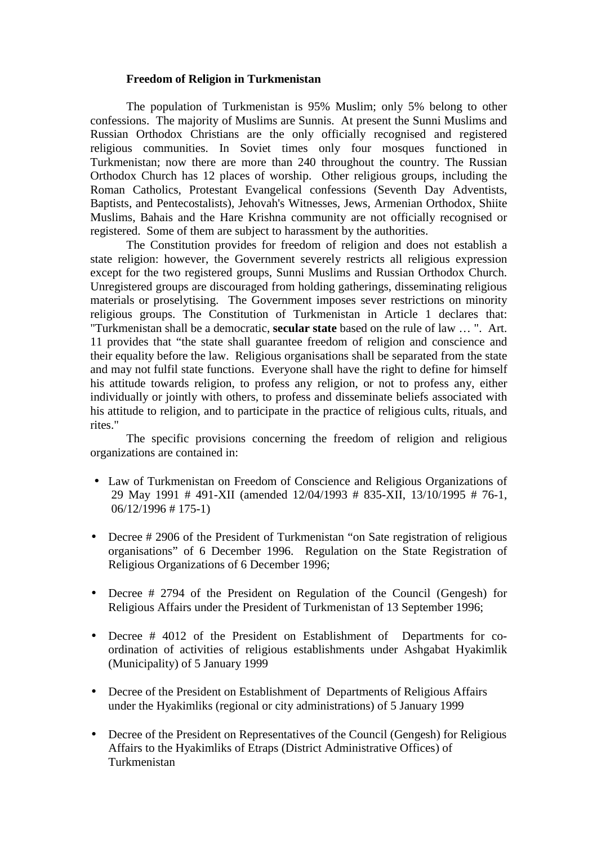## **Freedom of Religion in Turkmenistan**

The population of Turkmenistan is 95% Muslim; only 5% belong to other confessions. The majority of Muslims are Sunnis. At present the Sunni Muslims and Russian Orthodox Christians are the only officially recognised and registered religious communities. In Soviet times only four mosques functioned in Turkmenistan; now there are more than 240 throughout the country. The Russian Orthodox Church has 12 places of worship. Other religious groups, including the Roman Catholics, Protestant Evangelical confessions (Seventh Day Adventists, Baptists, and Pentecostalists), Jehovah's Witnesses, Jews, Armenian Orthodox, Shiite Muslims, Bahais and the Hare Krishna community are not officially recognised or registered. Some of them are subject to harassment by the authorities.

The Constitution provides for freedom of religion and does not establish a state religion: however, the Government severely restricts all religious expression except for the two registered groups, Sunni Muslims and Russian Orthodox Church. Unregistered groups are discouraged from holding gatherings, disseminating religious materials or proselytising. The Government imposes sever restrictions on minority religious groups. The Constitution of Turkmenistan in Article 1 declares that: "Turkmenistan shall be a democratic, **secular state** based on the rule of law … ". Art. 11 provides that "the state shall guarantee freedom of religion and conscience and their equality before the law. Religious organisations shall be separated from the state and may not fulfil state functions. Everyone shall have the right to define for himself his attitude towards religion, to profess any religion, or not to profess any, either individually or jointly with others, to profess and disseminate beliefs associated with his attitude to religion, and to participate in the practice of religious cults, rituals, and rites."

The specific provisions concerning the freedom of religion and religious organizations are contained in:

- Law of Turkmenistan on Freedom of Conscience and Religious Organizations of 29 May 1991 # 491-XII (amended 12/04/1993 # 835-XII, 13/10/1995 # 76-1, 06/12/1996 # 175-1)
- Decree # 2906 of the President of Turkmenistan "on Sate registration of religious organisations" of 6 December 1996. Regulation on the State Registration of Religious Organizations of 6 December 1996;
- Decree # 2794 of the President on Regulation of the Council (Gengesh) for Religious Affairs under the President of Turkmenistan of 13 September 1996;
- Decree # 4012 of the President on Establishment of Departments for coordination of activities of religious establishments under Ashgabat Hyakimlik (Municipality) of 5 January 1999
- Decree of the President on Establishment of Departments of Religious Affairs under the Hyakimliks (regional or city administrations) of 5 January 1999
- Decree of the President on Representatives of the Council (Gengesh) for Religious Affairs to the Hyakimliks of Etraps (District Administrative Offices) of Turkmenistan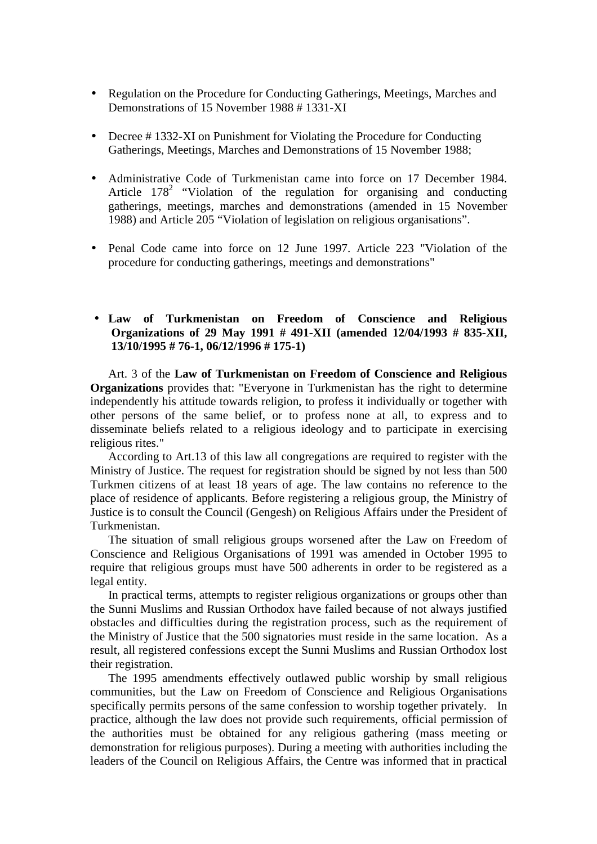- Regulation on the Procedure for Conducting Gatherings, Meetings, Marches and Demonstrations of 15 November 1988 # 1331-XI
- Decree #1332-XI on Punishment for Violating the Procedure for Conducting Gatherings, Meetings, Marches and Demonstrations of 15 November 1988;
- Administrative Code of Turkmenistan came into force on 17 December 1984. Article  $178^2$  "Violation of the regulation for organising and conducting gatherings, meetings, marches and demonstrations (amended in 15 November 1988) and Article 205 "Violation of legislation on religious organisations".
- Penal Code came into force on 12 June 1997. Article 223 "Violation of the procedure for conducting gatherings, meetings and demonstrations"

## • **Law of Turkmenistan on Freedom of Conscience and Religious Organizations of 29 May 1991 # 491-XII (amended 12/04/1993 # 835-XII, 13/10/1995 # 76-1, 06/12/1996 # 175-1)**

Art. 3 of the **Law of Turkmenistan on Freedom of Conscience and Religious Organizations** provides that: "Everyone in Turkmenistan has the right to determine independently his attitude towards religion, to profess it individually or together with other persons of the same belief, or to profess none at all, to express and to disseminate beliefs related to a religious ideology and to participate in exercising religious rites."

According to Art.13 of this law all congregations are required to register with the Ministry of Justice. The request for registration should be signed by not less than 500 Turkmen citizens of at least 18 years of age. The law contains no reference to the place of residence of applicants. Before registering a religious group, the Ministry of Justice is to consult the Council (Gengesh) on Religious Affairs under the President of Turkmenistan.

The situation of small religious groups worsened after the Law on Freedom of Conscience and Religious Organisations of 1991 was amended in October 1995 to require that religious groups must have 500 adherents in order to be registered as a legal entity.

In practical terms, attempts to register religious organizations or groups other than the Sunni Muslims and Russian Orthodox have failed because of not always justified obstacles and difficulties during the registration process, such as the requirement of the Ministry of Justice that the 500 signatories must reside in the same location. As a result, all registered confessions except the Sunni Muslims and Russian Orthodox lost their registration.

The 1995 amendments effectively outlawed public worship by small religious communities, but the Law on Freedom of Conscience and Religious Organisations specifically permits persons of the same confession to worship together privately. In practice, although the law does not provide such requirements, official permission of the authorities must be obtained for any religious gathering (mass meeting or demonstration for religious purposes). During a meeting with authorities including the leaders of the Council on Religious Affairs, the Centre was informed that in practical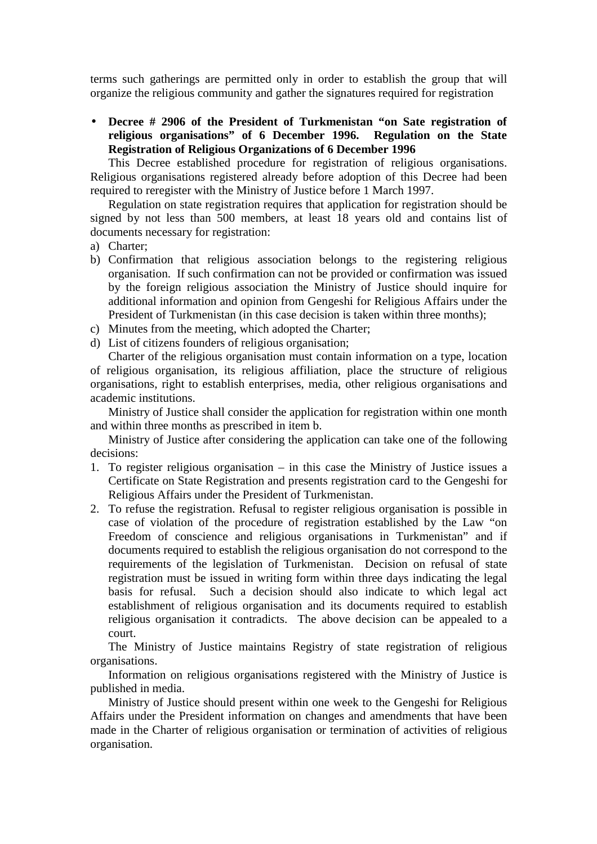terms such gatherings are permitted only in order to establish the group that will organize the religious community and gather the signatures required for registration

• **Decree # 2906 of the President of Turkmenistan "on Sate registration of religious organisations" of 6 December 1996. Regulation on the State Registration of Religious Organizations of 6 December 1996**

This Decree established procedure for registration of religious organisations. Religious organisations registered already before adoption of this Decree had been required to reregister with the Ministry of Justice before 1 March 1997.

Regulation on state registration requires that application for registration should be signed by not less than 500 members, at least 18 years old and contains list of documents necessary for registration:

- a) Charter;
- b) Confirmation that religious association belongs to the registering religious organisation. If such confirmation can not be provided or confirmation was issued by the foreign religious association the Ministry of Justice should inquire for additional information and opinion from Gengeshi for Religious Affairs under the President of Turkmenistan (in this case decision is taken within three months):
- c) Minutes from the meeting, which adopted the Charter;
- d) List of citizens founders of religious organisation;

Charter of the religious organisation must contain information on a type, location of religious organisation, its religious affiliation, place the structure of religious organisations, right to establish enterprises, media, other religious organisations and academic institutions.

Ministry of Justice shall consider the application for registration within one month and within three months as prescribed in item b.

Ministry of Justice after considering the application can take one of the following decisions:

- 1. To register religious organisation in this case the Ministry of Justice issues a Certificate on State Registration and presents registration card to the Gengeshi for Religious Affairs under the President of Turkmenistan.
- 2. To refuse the registration. Refusal to register religious organisation is possible in case of violation of the procedure of registration established by the Law "on Freedom of conscience and religious organisations in Turkmenistan" and if documents required to establish the religious organisation do not correspond to the requirements of the legislation of Turkmenistan. Decision on refusal of state registration must be issued in writing form within three days indicating the legal basis for refusal. Such a decision should also indicate to which legal act establishment of religious organisation and its documents required to establish religious organisation it contradicts. The above decision can be appealed to a court.

The Ministry of Justice maintains Registry of state registration of religious organisations.

Information on religious organisations registered with the Ministry of Justice is published in media.

Ministry of Justice should present within one week to the Gengeshi for Religious Affairs under the President information on changes and amendments that have been made in the Charter of religious organisation or termination of activities of religious organisation.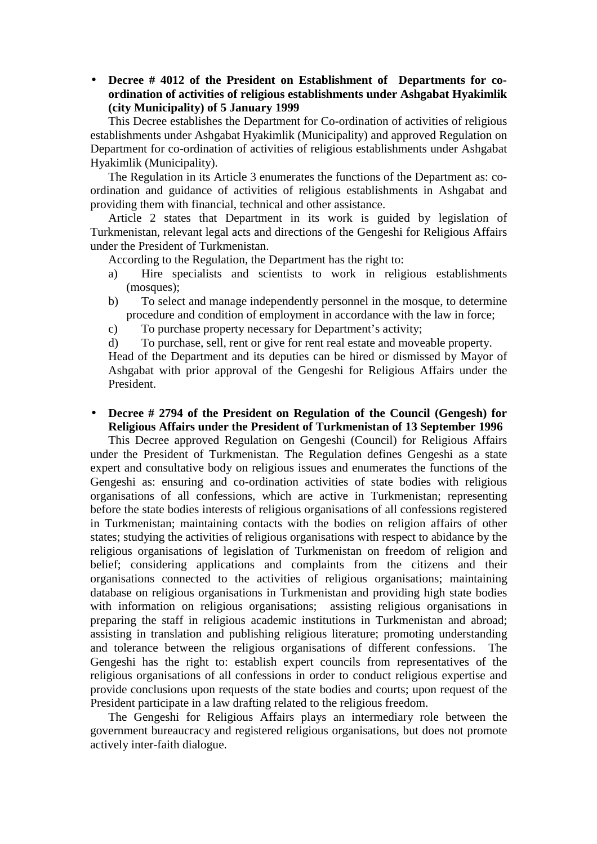• **Decree # 4012 of the President on Establishment of Departments for coordination of activities of religious establishments under Ashgabat Hyakimlik (city Municipality) of 5 January 1999**

This Decree establishes the Department for Co-ordination of activities of religious establishments under Ashgabat Hyakimlik (Municipality) and approved Regulation on Department for co-ordination of activities of religious establishments under Ashgabat Hyakimlik (Municipality).

The Regulation in its Article 3 enumerates the functions of the Department as: coordination and guidance of activities of religious establishments in Ashgabat and providing them with financial, technical and other assistance.

Article 2 states that Department in its work is guided by legislation of Turkmenistan, relevant legal acts and directions of the Gengeshi for Religious Affairs under the President of Turkmenistan.

According to the Regulation, the Department has the right to:

- a) Hire specialists and scientists to work in religious establishments (mosques);
- b) To select and manage independently personnel in the mosque, to determine procedure and condition of employment in accordance with the law in force;
- c) To purchase property necessary for Department's activity;
- d) To purchase, sell, rent or give for rent real estate and moveable property.

Head of the Department and its deputies can be hired or dismissed by Mayor of Ashgabat with prior approval of the Gengeshi for Religious Affairs under the President.

• **Decree # 2794 of the President on Regulation of the Council (Gengesh) for Religious Affairs under the President of Turkmenistan of 13 September 1996**

This Decree approved Regulation on Gengeshi (Council) for Religious Affairs under the President of Turkmenistan. The Regulation defines Gengeshi as a state expert and consultative body on religious issues and enumerates the functions of the Gengeshi as: ensuring and co-ordination activities of state bodies with religious organisations of all confessions, which are active in Turkmenistan; representing before the state bodies interests of religious organisations of all confessions registered in Turkmenistan; maintaining contacts with the bodies on religion affairs of other states; studying the activities of religious organisations with respect to abidance by the religious organisations of legislation of Turkmenistan on freedom of religion and belief; considering applications and complaints from the citizens and their organisations connected to the activities of religious organisations; maintaining database on religious organisations in Turkmenistan and providing high state bodies with information on religious organisations; assisting religious organisations in preparing the staff in religious academic institutions in Turkmenistan and abroad; assisting in translation and publishing religious literature; promoting understanding and tolerance between the religious organisations of different confessions. The Gengeshi has the right to: establish expert councils from representatives of the religious organisations of all confessions in order to conduct religious expertise and provide conclusions upon requests of the state bodies and courts; upon request of the President participate in a law drafting related to the religious freedom.

The Gengeshi for Religious Affairs plays an intermediary role between the government bureaucracy and registered religious organisations, but does not promote actively inter-faith dialogue.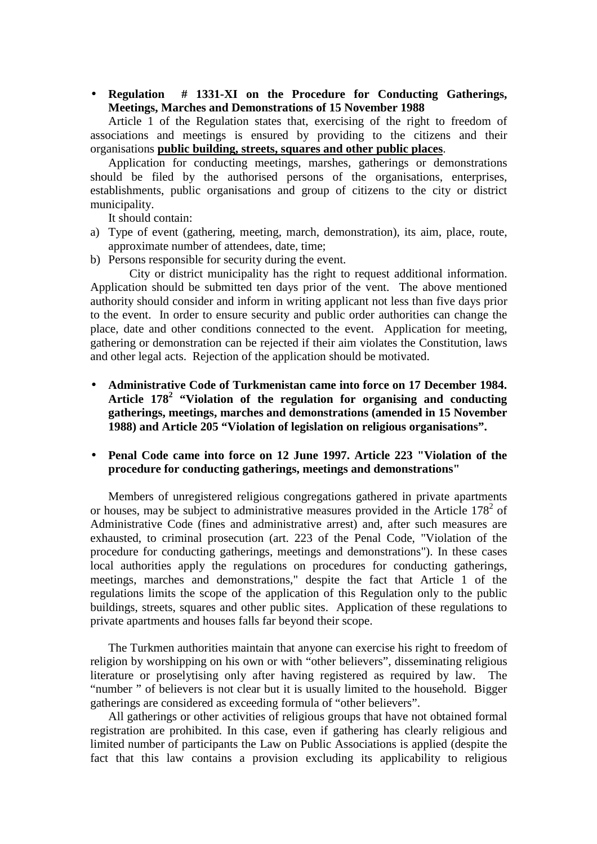• **Regulation # 1331-XI on the Procedure for Conducting Gatherings, Meetings, Marches and Demonstrations of 15 November 1988**

Article 1 of the Regulation states that, exercising of the right to freedom of associations and meetings is ensured by providing to the citizens and their organisations **public building, streets, squares and other public places**.

Application for conducting meetings, marshes, gatherings or demonstrations should be filed by the authorised persons of the organisations, enterprises, establishments, public organisations and group of citizens to the city or district municipality.

It should contain:

- a) Type of event (gathering, meeting, march, demonstration), its aim, place, route, approximate number of attendees, date, time;
- b) Persons responsible for security during the event.

City or district municipality has the right to request additional information. Application should be submitted ten days prior of the vent. The above mentioned authority should consider and inform in writing applicant not less than five days prior to the event. In order to ensure security and public order authorities can change the place, date and other conditions connected to the event. Application for meeting, gathering or demonstration can be rejected if their aim violates the Constitution, laws and other legal acts. Rejection of the application should be motivated.

• **Administrative Code of Turkmenistan came into force on 17 December 1984. Article 178<sup>2</sup> "Violation of the regulation for organising and conducting gatherings, meetings, marches and demonstrations (amended in 15 November 1988) and Article 205 "Violation of legislation on religious organisations".**

## • **Penal Code came into force on 12 June 1997. Article 223 "Violation of the procedure for conducting gatherings, meetings and demonstrations"**

Members of unregistered religious congregations gathered in private apartments or houses, may be subject to administrative measures provided in the Article  $178<sup>2</sup>$  of Administrative Code (fines and administrative arrest) and, after such measures are exhausted, to criminal prosecution (art. 223 of the Penal Code, "Violation of the procedure for conducting gatherings, meetings and demonstrations"). In these cases local authorities apply the regulations on procedures for conducting gatherings, meetings, marches and demonstrations," despite the fact that Article 1 of the regulations limits the scope of the application of this Regulation only to the public buildings, streets, squares and other public sites. Application of these regulations to private apartments and houses falls far beyond their scope.

The Turkmen authorities maintain that anyone can exercise his right to freedom of religion by worshipping on his own or with "other believers", disseminating religious literature or proselytising only after having registered as required by law. The "number " of believers is not clear but it is usually limited to the household. Bigger gatherings are considered as exceeding formula of "other believers".

All gatherings or other activities of religious groups that have not obtained formal registration are prohibited. In this case, even if gathering has clearly religious and limited number of participants the Law on Public Associations is applied (despite the fact that this law contains a provision excluding its applicability to religious